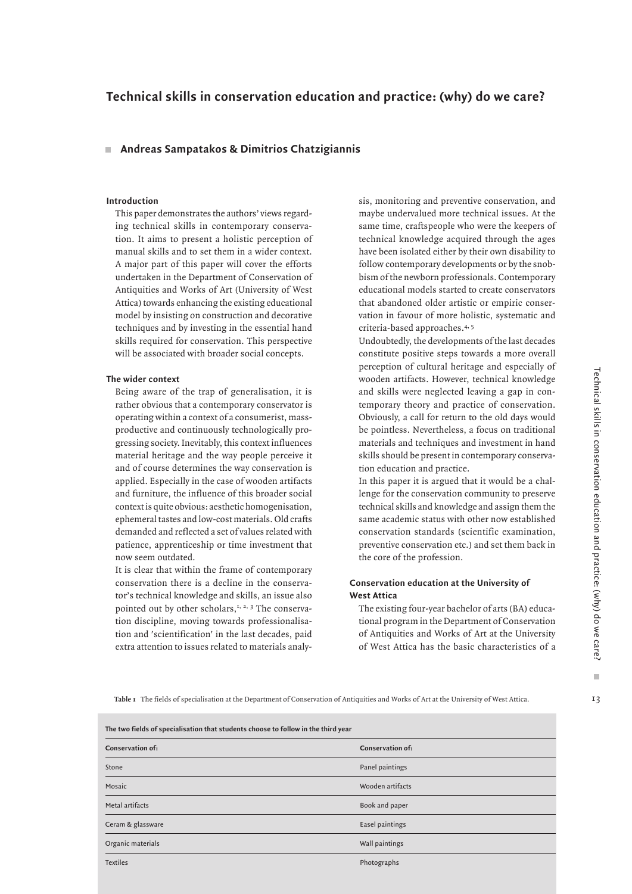# **Technical skills in conservation education and practice: (why) do we care?**

# **Andreas Sampatakos & Dimitrios Chatzigiannis**

#### **Introduction**

This paper demonstrates the authors' views regarding technical skills in contemporary conservation. It aims to present a holistic perception of manual skills and to set them in a wider context. A major part of this paper will cover the efforts undertaken in the Department of Conservation of Antiquities and Works of Art (University of West Attica) towards enhancing the existing educational model by insisting on construction and decorative techniques and by investing in the essential hand skills required for conservation. This perspective will be associated with broader social concepts.

#### **The wider context**

Being aware of the trap of generalisation, it is rather obvious that a contemporary conservator is operating within a context of a consumerist, massproductive and continuously technologically progressing society. Inevitably, this context influences material heritage and the way people perceive it and of course determines the way conservation is applied. Especially in the case of wooden artifacts and furniture, the influence of this broader social context is quite obvious: aesthetic homogenisation, ephemeral tastes and low-cost materials. Old crafts demanded and reflected a set of values related with patience, apprenticeship or time investment that now seem outdated.

It is clear that within the frame of contemporary conservation there is a decline in the conservator's technical knowledge and skills, an issue also pointed out by other scholars,<sup>1, 2, 3</sup> The conservation discipline, moving towards professionalisation and 'scientification' in the last decades, paid extra attention to issues related to materials analysis, monitoring and preventive conservation, and maybe undervalued more technical issues. At the same time, craftspeople who were the keepers of technical knowledge acquired through the ages have been isolated either by their own disability to follow contemporary developments or by the snobbism of the newborn professionals. Contemporary educational models started to create conservators that abandoned older artistic or empiric conservation in favour of more holistic, systematic and criteria-based approaches.4, 5

Undoubtedly, the developments of the last decades constitute positive steps towards a more overall perception of cultural heritage and especially of wooden artifacts. However, technical knowledge and skills were neglected leaving a gap in contemporary theory and practice of conservation. Obviously, a call for return to the old days would be pointless. Nevertheless, a focus on traditional materials and techniques and investment in hand skills should be present in contemporary conservation education and practice.

In this paper it is argued that it would be a challenge for the conservation community to preserve technical skills and knowledge and assign them the same academic status with other now established conservation standards (scientific examination, preventive conservation etc.) and set them back in the core of the profession.

# **Conservation education at the University of West Attica**

The existing four-year bachelor of arts (BA) educational program in the Department of Conservation of Antiquities and Works of Art at the University of West Attica has the basic characteristics of a

**Table 1** The fields of specialisation at the Department of Conservation of Antiquities and Works of Art at the University of West Attica.

| The two fields of specialisation that students choose to follow in the third year |                         |  |
|-----------------------------------------------------------------------------------|-------------------------|--|
| <b>Conservation of:</b>                                                           | <b>Conservation of:</b> |  |
| Stone                                                                             | Panel paintings         |  |
| Mosaic                                                                            | Wooden artifacts        |  |
| Metal artifacts                                                                   | Book and paper          |  |
| Ceram & glassware                                                                 | Easel paintings         |  |
| Organic materials                                                                 | Wall paintings          |  |
| <b>Textiles</b>                                                                   | Photographs             |  |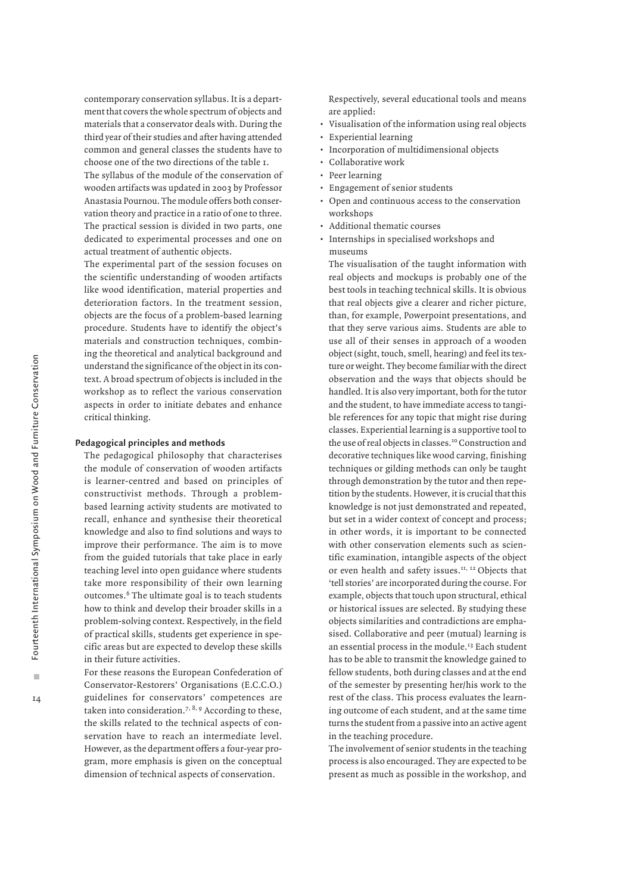contemporary conservation syllabus. It is a department that covers the whole spectrum of objects and materials that a conservator deals with. During the third year of their studies and after having attended common and general classes the students have to choose one of the two directions of the table 1.

The syllabus of the module of the conservation of wooden artifacts was updated in 2003 by Professor Anastasia Pournou. The module offers both conservation theory and practice in a ratio of one to three. The practical session is divided in two parts, one dedicated to experimental processes and one on actual treatment of authentic objects.

The experimental part of the session focuses on the scientific understanding of wooden artifacts like wood identification, material properties and deterioration factors. In the treatment session, objects are the focus of a problem-based learning procedure. Students have to identify the object's materials and construction techniques, combining the theoretical and analytical background and understand the significance of the object in its context. A broad spectrum of objects is included in the workshop as to reflect the various conservation aspects in order to initiate debates and enhance critical thinking.

# **Pedagogical principles and methods**

The pedagogical philosophy that characterises the module of conservation of wooden artifacts is learner-centred and based on principles of constructivist methods. Through a problembased learning activity students are motivated to recall, enhance and synthesise their theoretical knowledge and also to find solutions and ways to improve their performance. The aim is to move from the guided tutorials that take place in early teaching level into open guidance where students take more responsibility of their own learning outcomes.6 The ultimate goal is to teach students how to think and develop their broader skills in a problem-solving context. Respectively, in the field of practical skills, students get experience in specific areas but are expected to develop these skills in their future activities.

For these reasons the European Confederation of Conservator-Restorers' Organisations (E.C.C.O.) guidelines for conservators' competences are taken into consideration.<sup>7, 8, 9</sup> According to these, the skills related to the technical aspects of conservation have to reach an intermediate level. However, as the department offers a four-year program, more emphasis is given on the conceptual dimension of technical aspects of conservation.

Respectively, several educational tools and means are applied:

- Visualisation of the information using real objects
- Experiential learning
- Incorporation of multidimensional objects
- Collaborative work
- Peer learning
- Engagement of senior students
- Open and continuous access to the conservation workshops
- Additional thematic courses
- Internships in specialised workshops and museums

The visualisation of the taught information with real objects and mockups is probably one of the best tools in teaching technical skills. It is obvious that real objects give a clearer and richer picture, than, for example, Powerpoint presentations, and that they serve various aims. Students are able to use all of their senses in approach of a wooden object (sight, touch, smell, hearing) and feel its texture or weight. They become familiar with the direct observation and the ways that objects should be handled. It is also very important, both for the tutor and the student, to have immediate access to tangible references for any topic that might rise during classes. Experiential learning is a supportive tool to the use of real objects in classes.<sup>10</sup> Construction and decorative techniques like wood carving, finishing techniques or gilding methods can only be taught through demonstration by the tutor and then repetition by the students. However, it is crucial that this knowledge is not just demonstrated and repeated, but set in a wider context of concept and process; in other words, it is important to be connected with other conservation elements such as scientific examination, intangible aspects of the object or even health and safety issues.<sup>11, 12</sup> Objects that 'tell stories' are incorporated during the course. For example, objects that touch upon structural, ethical or historical issues are selected. By studying these objects similarities and contradictions are emphasised. Collaborative and peer (mutual) learning is an essential process in the module.<sup>13</sup> Each student has to be able to transmit the knowledge gained to fellow students, both during classes and at the end of the semester by presenting her/his work to the rest of the class. This process evaluates the learning outcome of each student, and at the same time turns the student from a passive into an active agent in the teaching procedure.

The involvement of senior students in the teaching process is also encouraged. They are expected to be present as much as possible in the workshop, and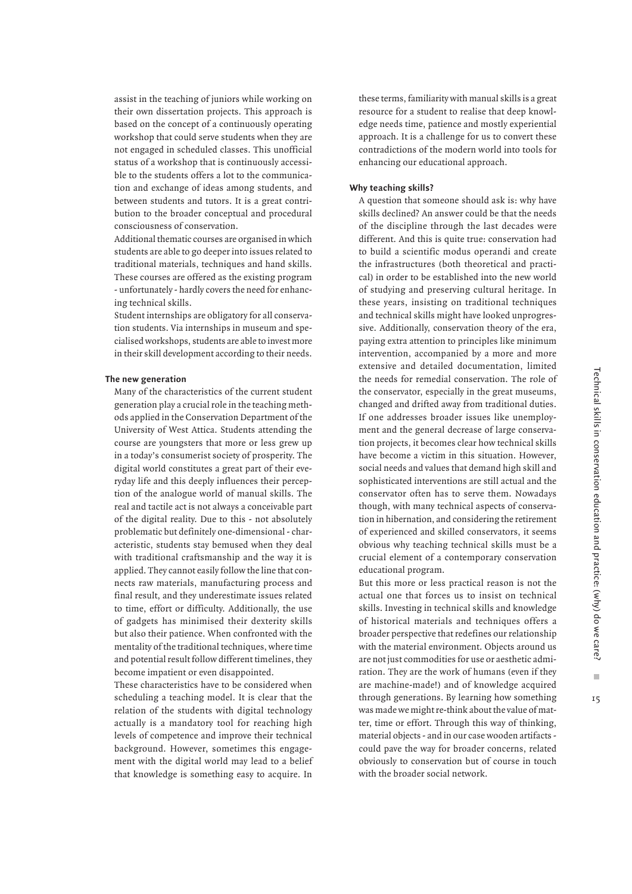Ì.

 $15$ 

assist in the teaching of juniors while working on their own dissertation projects. This approach is based on the concept of a continuously operating workshop that could serve students when they are not engaged in scheduled classes. This unofficial status of a workshop that is continuously accessible to the students offers a lot to the communication and exchange of ideas among students, and between students and tutors. It is a great contribution to the broader conceptual and procedural consciousness of conservation.

Additional thematic courses are organised in which students are able to go deeper into issues related to traditional materials, techniques and hand skills. These courses are offered as the existing program - unfortunately - hardly covers the need for enhancing technical skills.

Student internships are obligatory for all conservation students. Via internships in museum and specialised workshops, students are able to invest more in their skill development according to their needs.

# **The new generation**

Many of the characteristics of the current student generation play a crucial role in the teaching methods applied in the Conservation Department of the University of West Attica. Students attending the course are youngsters that more or less grew up in a today's consumerist society of prosperity. The digital world constitutes a great part of their everyday life and this deeply influences their perception of the analogue world of manual skills. The real and tactile act is not always a conceivable part of the digital reality. Due to this - not absolutely problematic but definitely one-dimensional - characteristic, students stay bemused when they deal with traditional craftsmanship and the way it is applied. They cannot easily follow the line that connects raw materials, manufacturing process and final result, and they underestimate issues related to time, effort or difficulty. Additionally, the use of gadgets has minimised their dexterity skills but also their patience. When confronted with the mentality of the traditional techniques, where time and potential result follow different timelines, they become impatient or even disappointed.

These characteristics have to be considered when scheduling a teaching model. It is clear that the relation of the students with digital technology actually is a mandatory tool for reaching high levels of competence and improve their technical background. However, sometimes this engagement with the digital world may lead to a belief that knowledge is something easy to acquire. In

these terms, familiarity with manual skills is a great resource for a student to realise that deep knowledge needs time, patience and mostly experiential approach. It is a challenge for us to convert these contradictions of the modern world into tools for enhancing our educational approach.

#### **Why teaching skills?**

A question that someone should ask is: why have skills declined? An answer could be that the needs of the discipline through the last decades were different. And this is quite true: conservation had to build a scientific modus operandi and create the infrastructures (both theoretical and practical) in order to be established into the new world of studying and preserving cultural heritage. In these years, insisting on traditional techniques and technical skills might have looked unprogressive. Additionally, conservation theory of the era, paying extra attention to principles like minimum intervention, accompanied by a more and more extensive and detailed documentation, limited the needs for remedial conservation. The role of the conservator, especially in the great museums, changed and drifted away from traditional duties. If one addresses broader issues like unemployment and the general decrease of large conservation projects, it becomes clear how technical skills have become a victim in this situation. However, social needs and values that demand high skill and sophisticated interventions are still actual and the conservator often has to serve them. Nowadays though, with many technical aspects of conservation in hibernation, and considering the retirement of experienced and skilled conservators, it seems obvious why teaching technical skills must be a crucial element of a contemporary conservation educational program.

But this more or less practical reason is not the actual one that forces us to insist on technical skills. Investing in technical skills and knowledge of historical materials and techniques offers a broader perspective that redefines our relationship with the material environment. Objects around us are not just commodities for use or aesthetic admiration. They are the work of humans (even if they are machine-made!) and of knowledge acquired through generations. By learning how something was made we might re-think about the value of matter, time or effort. Through this way of thinking, material objects - and in our case wooden artifacts could pave the way for broader concerns, related obviously to conservation but of course in touch with the broader social network.